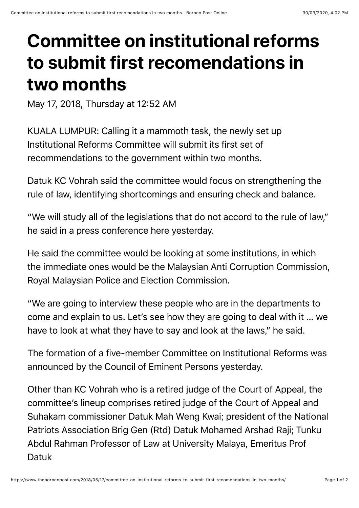## **Committee on institutional reforms to submit first recomendations in two months**

May 17, 2018, Thursday at 12:52 AM

KUALA LUMPUR: Calling it a mammoth task, the newly set up Institutional Reforms Committee will submit its first set of recommendations to the government within two months.

Datuk KC Vohrah said the committee would focus on strengthening the rule of law, identifying shortcomings and ensuring check and balance.

"We will study all of the legislations that do not accord to the rule of law," he said in a press conference here yesterday.

He said the committee would be looking at some institutions, in which the immediate ones would be the Malaysian Anti Corruption Commission, Royal Malaysian Police and Election Commission.

"We are going to interview these people who are in the departments to come and explain to us. Let's see how they are going to deal with it … we have to look at what they have to say and look at the laws," he said.

The formation of a five-member Committee on Institutional Reforms was announced by the Council of Eminent Persons yesterday.

Other than KC Vohrah who is a retired judge of the Court of Appeal, the committee's lineup comprises retired judge of the Court of Appeal and Suhakam commissioner Datuk Mah Weng Kwai; president of the National Patriots Association Brig Gen (Rtd) Datuk Mohamed Arshad Raji; Tunku Abdul Rahman Professor of Law at University Malaya, Emeritus Prof Datuk